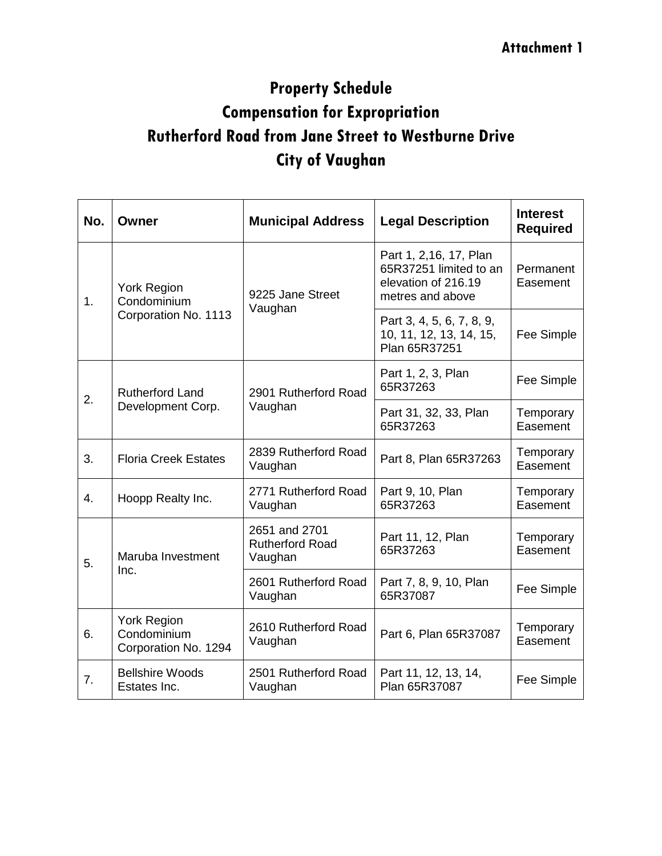## **Attachment 1**

## **Property Schedule Compensation for Expropriation Rutherford Road from Jane Street to Westburne Drive City of Vaughan**

| No. | Owner                                                     | <b>Municipal Address</b>                           | <b>Legal Description</b>                                                                    | <b>Interest</b><br><b>Required</b> |
|-----|-----------------------------------------------------------|----------------------------------------------------|---------------------------------------------------------------------------------------------|------------------------------------|
| 1.  | <b>York Region</b><br>Condominium<br>Corporation No. 1113 | 9225 Jane Street<br>Vaughan                        | Part 1, 2,16, 17, Plan<br>65R37251 limited to an<br>elevation of 216.19<br>metres and above | Permanent<br>Easement              |
|     |                                                           |                                                    | Part 3, 4, 5, 6, 7, 8, 9,<br>10, 11, 12, 13, 14, 15,<br>Plan 65R37251                       | Fee Simple                         |
| 2.  | <b>Rutherford Land</b><br>Development Corp.               | 2901 Rutherford Road<br>Vaughan                    | Part 1, 2, 3, Plan<br>65R37263                                                              | Fee Simple                         |
|     |                                                           |                                                    | Part 31, 32, 33, Plan<br>65R37263                                                           | Temporary<br>Easement              |
| 3.  | <b>Floria Creek Estates</b>                               | 2839 Rutherford Road<br>Vaughan                    | Part 8, Plan 65R37263                                                                       | Temporary<br>Easement              |
| 4.  | Hoopp Realty Inc.                                         | 2771 Rutherford Road<br>Vaughan                    | Part 9, 10, Plan<br>65R37263                                                                | Temporary<br>Easement              |
| 5.  | Maruba Investment<br>Inc.                                 | 2651 and 2701<br><b>Rutherford Road</b><br>Vaughan | Part 11, 12, Plan<br>65R37263                                                               | Temporary<br>Easement              |
|     |                                                           | 2601 Rutherford Road<br>Vaughan                    | Part 7, 8, 9, 10, Plan<br>65R37087                                                          | Fee Simple                         |
| 6.  | <b>York Region</b><br>Condominium<br>Corporation No. 1294 | 2610 Rutherford Road<br>Vaughan                    | Part 6, Plan 65R37087                                                                       | Temporary<br>Easement              |
| 7.  | <b>Bellshire Woods</b><br>Estates Inc.                    | 2501 Rutherford Road<br>Vaughan                    | Part 11, 12, 13, 14,<br>Plan 65R37087                                                       | Fee Simple                         |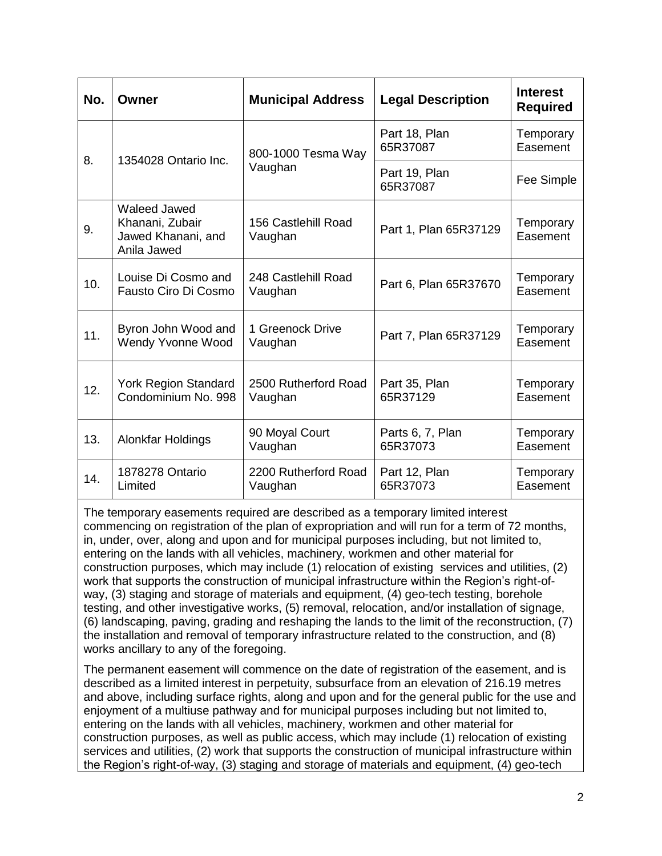| No. | Owner                                                                       | <b>Municipal Address</b>        | <b>Legal Description</b>     | <b>Interest</b><br><b>Required</b> |
|-----|-----------------------------------------------------------------------------|---------------------------------|------------------------------|------------------------------------|
| 8.  | 1354028 Ontario Inc.                                                        | 800-1000 Tesma Way<br>Vaughan   | Part 18, Plan<br>65R37087    | Temporary<br>Easement              |
|     |                                                                             |                                 | Part 19, Plan<br>65R37087    | Fee Simple                         |
| 9.  | <b>Waleed Jawed</b><br>Khanani, Zubair<br>Jawed Khanani, and<br>Anila Jawed | 156 Castlehill Road<br>Vaughan  | Part 1, Plan 65R37129        | Temporary<br>Easement              |
| 10. | Louise Di Cosmo and<br>Fausto Ciro Di Cosmo                                 | 248 Castlehill Road<br>Vaughan  | Part 6, Plan 65R37670        | Temporary<br>Easement              |
| 11. | Byron John Wood and<br>Wendy Yvonne Wood                                    | 1 Greenock Drive<br>Vaughan     | Part 7, Plan 65R37129        | Temporary<br>Easement              |
| 12. | <b>York Region Standard</b><br>Condominium No. 998                          | 2500 Rutherford Road<br>Vaughan | Part 35, Plan<br>65R37129    | Temporary<br>Easement              |
| 13. | Alonkfar Holdings                                                           | 90 Moyal Court<br>Vaughan       | Parts 6, 7, Plan<br>65R37073 | Temporary<br>Easement              |
| 14. | 1878278 Ontario<br>Limited                                                  | 2200 Rutherford Road<br>Vaughan | Part 12, Plan<br>65R37073    | Temporary<br>Easement              |

The temporary easements required are described as a temporary limited interest commencing on registration of the plan of expropriation and will run for a term of 72 months, in, under, over, along and upon and for municipal purposes including, but not limited to, entering on the lands with all vehicles, machinery, workmen and other material for construction purposes, which may include (1) relocation of existing services and utilities, (2) work that supports the construction of municipal infrastructure within the Region's right-ofway, (3) staging and storage of materials and equipment, (4) geo-tech testing, borehole testing, and other investigative works, (5) removal, relocation, and/or installation of signage, (6) landscaping, paving, grading and reshaping the lands to the limit of the reconstruction, (7) the installation and removal of temporary infrastructure related to the construction, and (8) works ancillary to any of the foregoing.

The permanent easement will commence on the date of registration of the easement, and is described as a limited interest in perpetuity, subsurface from an elevation of 216.19 metres and above, including surface rights, along and upon and for the general public for the use and enjoyment of a multiuse pathway and for municipal purposes including but not limited to, entering on the lands with all vehicles, machinery, workmen and other material for construction purposes, as well as public access, which may include (1) relocation of existing services and utilities, (2) work that supports the construction of municipal infrastructure within the Region's right-of-way, (3) staging and storage of materials and equipment, (4) geo-tech